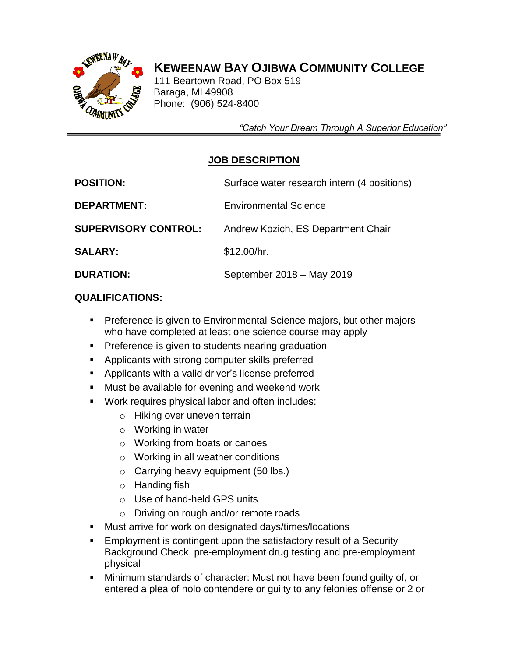

# **KEWEENAW BAY OJIBWA COMMUNITY COLLEGE**

 111 Beartown Road, PO Box 519 Baraga, MI 49908 Phone: (906) 524-8400

 *"Catch Your Dream Through A Superior Education"*

## **JOB DESCRIPTION**

| <b>POSITION:</b>            | Surface water research intern (4 positions) |
|-----------------------------|---------------------------------------------|
| <b>DEPARTMENT:</b>          | <b>Environmental Science</b>                |
| <b>SUPERVISORY CONTROL:</b> | Andrew Kozich, ES Department Chair          |
| <b>SALARY:</b>              | \$12.00/hr.                                 |
| <b>DURATION:</b>            | September 2018 - May 2019                   |

### **QUALIFICATIONS:**

- Preference is given to Environmental Science majors, but other majors who have completed at least one science course may apply
- **•** Preference is given to students nearing graduation
- Applicants with strong computer skills preferred
- Applicants with a valid driver's license preferred
- Must be available for evening and weekend work
- Work requires physical labor and often includes:
	- o Hiking over uneven terrain
	- o Working in water
	- o Working from boats or canoes
	- o Working in all weather conditions
	- o Carrying heavy equipment (50 lbs.)
	- o Handing fish
	- o Use of hand-held GPS units
	- o Driving on rough and/or remote roads
- Must arrive for work on designated days/times/locations
- Employment is contingent upon the satisfactory result of a Security Background Check, pre-employment drug testing and pre-employment physical
- Minimum standards of character: Must not have been found guilty of, or entered a plea of nolo contendere or guilty to any felonies offense or 2 or